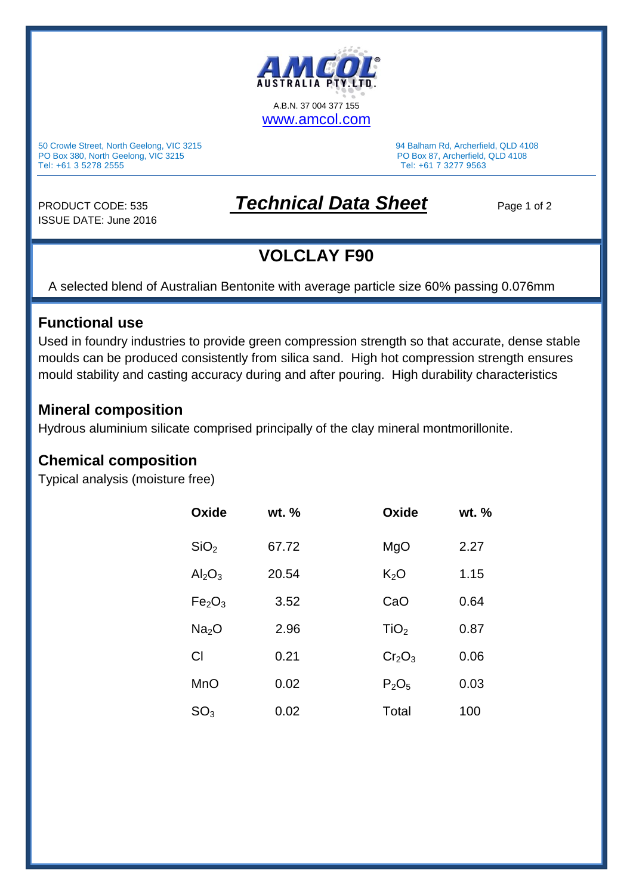

50 Crowle Street, North Geelong, VIC 3215 94 Balham Rd, Archerfield, QLD 4108<br>
PO Box 380, North Geelong, VIC 3215 94 Balham Rd, Archerfield, QLD 4108 PO Box 380, North Geelong, VIC 3215<br>Tel: +61 3 5278 2555

Tel: +61 7 3277 9563

ISSUE DATE: June 2016

# PRODUCT CODE: 535 **Technical Data Sheet** Page 1 of 2

## **VOLCLAY F90**

A selected blend of Australian Bentonite with average particle size 60% passing 0.076mm

#### **Functional use**

Used in foundry industries to provide green compression strength so that accurate, dense stable moulds can be produced consistently from silica sand. High hot compression strength ensures mould stability and casting accuracy during and after pouring. High durability characteristics

#### **Mineral composition**

Hydrous aluminium silicate comprised principally of the clay mineral montmorillonite.

### **Chemical composition**

Typical analysis (moisture free)

| Oxide                          | $wt.$ % | Oxide            | wt. % |  |
|--------------------------------|---------|------------------|-------|--|
| SiO <sub>2</sub>               | 67.72   | MgO              | 2.27  |  |
| $Al_2O_3$                      | 20.54   | K <sub>2</sub> O | 1.15  |  |
| Fe <sub>2</sub> O <sub>3</sub> | 3.52    | CaO              | 0.64  |  |
| Na <sub>2</sub> O              | 2.96    | TiO <sub>2</sub> | 0.87  |  |
| Cl                             | 0.21    | $Cr_2O_3$        | 0.06  |  |
| <b>MnO</b>                     | 0.02    | $P_2O_5$         | 0.03  |  |
| $\mathsf{SO}_3$                | 0.02    | Total            | 100   |  |